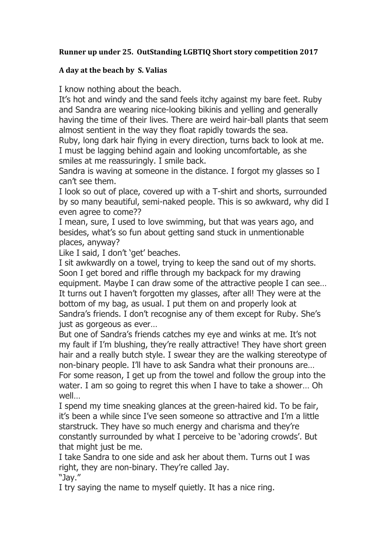## **Runner up under 25. OutStanding LGBTIQ Short story competition 2017**

## **A day at the beach by S. Valias**

I know nothing about the beach.

It's hot and windy and the sand feels itchy against my bare feet. Ruby and Sandra are wearing nice-looking bikinis and yelling and generally having the time of their lives. There are weird hair-ball plants that seem almost sentient in the way they float rapidly towards the sea.

Ruby, long dark hair flying in every direction, turns back to look at me. I must be lagging behind again and looking uncomfortable, as she smiles at me reassuringly. I smile back.

Sandra is waving at someone in the distance. I forgot my glasses so I can't see them.

I look so out of place, covered up with a T-shirt and shorts, surrounded by so many beautiful, semi-naked people. This is so awkward, why did I even agree to come??

I mean, sure, I used to love swimming, but that was years ago, and besides, what's so fun about getting sand stuck in unmentionable places, anyway?

Like I said, I don't 'get' beaches.

I sit awkwardly on a towel, trying to keep the sand out of my shorts. Soon I get bored and riffle through my backpack for my drawing equipment. Maybe I can draw some of the attractive people I can see… It turns out I haven't forgotten my glasses, after all! They were at the bottom of my bag, as usual. I put them on and properly look at Sandra's friends. I don't recognise any of them except for Ruby. She's just as gorgeous as ever…

But one of Sandra's friends catches my eye and winks at me. It's not my fault if I'm blushing, they're really attractive! They have short green hair and a really butch style. I swear they are the walking stereotype of non-binary people. I'll have to ask Sandra what their pronouns are… For some reason, I get up from the towel and follow the group into the water. I am so going to regret this when I have to take a shower… Oh well…

I spend my time sneaking glances at the green-haired kid. To be fair, it's been a while since I've seen someone so attractive and I'm a little starstruck. They have so much energy and charisma and they're constantly surrounded by what I perceive to be 'adoring crowds'. But that might just be me.

I take Sandra to one side and ask her about them. Turns out I was right, they are non-binary. They're called Jay. "Jay."

I try saying the name to myself quietly. It has a nice ring.